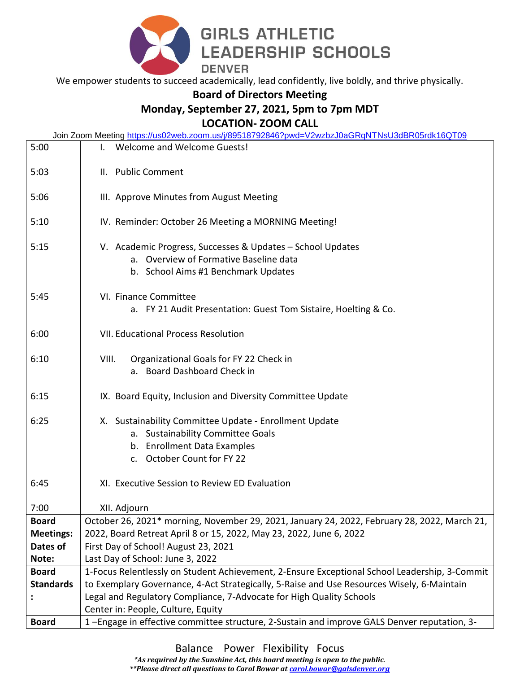

We empower students to succeed academically, lead confidently, live boldly, and thrive physically.

## **Board of Directors Meeting**

## **Monday, September 27, 2021, 5pm to 7pm MDT**

**LOCATION- ZOOM CALL** 

|                                  | Join Zoom Meeting https://us02web.zoom.us/j/89518792846?pwd=V2wzbzJ0aGRqNTNsU3dBR05rdk16QT09                                                                                                |  |  |  |  |
|----------------------------------|---------------------------------------------------------------------------------------------------------------------------------------------------------------------------------------------|--|--|--|--|
| 5:00                             | <b>Welcome and Welcome Guests!</b>                                                                                                                                                          |  |  |  |  |
| 5:03                             | II. Public Comment                                                                                                                                                                          |  |  |  |  |
| 5:06                             | III. Approve Minutes from August Meeting                                                                                                                                                    |  |  |  |  |
| 5:10                             | IV. Reminder: October 26 Meeting a MORNING Meeting!                                                                                                                                         |  |  |  |  |
| 5:15                             | V. Academic Progress, Successes & Updates - School Updates<br>a. Overview of Formative Baseline data<br>b. School Aims #1 Benchmark Updates                                                 |  |  |  |  |
| 5:45                             | VI. Finance Committee<br>a. FY 21 Audit Presentation: Guest Tom Sistaire, Hoelting & Co.                                                                                                    |  |  |  |  |
| 6:00                             | <b>VII. Educational Process Resolution</b>                                                                                                                                                  |  |  |  |  |
| 6:10                             | VIII.<br>Organizational Goals for FY 22 Check in<br>a. Board Dashboard Check in                                                                                                             |  |  |  |  |
| 6:15                             | IX. Board Equity, Inclusion and Diversity Committee Update                                                                                                                                  |  |  |  |  |
| 6:25                             | X. Sustainability Committee Update - Enrollment Update<br>a. Sustainability Committee Goals<br>b. Enrollment Data Examples<br>c. October Count for FY 22                                    |  |  |  |  |
| 6:45                             | XI. Executive Session to Review ED Evaluation                                                                                                                                               |  |  |  |  |
| 7:00                             | XII. Adjourn                                                                                                                                                                                |  |  |  |  |
| <b>Board</b>                     | October 26, 2021* morning, November 29, 2021, January 24, 2022, February 28, 2022, March 21,                                                                                                |  |  |  |  |
| <b>Meetings:</b>                 | 2022, Board Retreat April 8 or 15, 2022, May 23, 2022, June 6, 2022                                                                                                                         |  |  |  |  |
| Dates of                         | First Day of School! August 23, 2021                                                                                                                                                        |  |  |  |  |
| Note:                            | Last Day of School: June 3, 2022                                                                                                                                                            |  |  |  |  |
| <b>Board</b><br><b>Standards</b> | 1-Focus Relentlessly on Student Achievement, 2-Ensure Exceptional School Leadership, 3-Commit<br>to Exemplary Governance, 4-Act Strategically, 5-Raise and Use Resources Wisely, 6-Maintain |  |  |  |  |
|                                  | Legal and Regulatory Compliance, 7-Advocate for High Quality Schools                                                                                                                        |  |  |  |  |
|                                  | Center in: People, Culture, Equity                                                                                                                                                          |  |  |  |  |
| <b>Board</b>                     | 1-Engage in effective committee structure, 2-Sustain and improve GALS Denver reputation, 3-                                                                                                 |  |  |  |  |
|                                  |                                                                                                                                                                                             |  |  |  |  |

Balance Power Flexibility Focus

*\*As required by the Sunshine Act, this board meeting is open to the public.* 

*\*\*Please direct all questions to Carol Bowar at [carol.bowar@galsdenver.org](mailto:carol.bowar@galsdenver.org)*